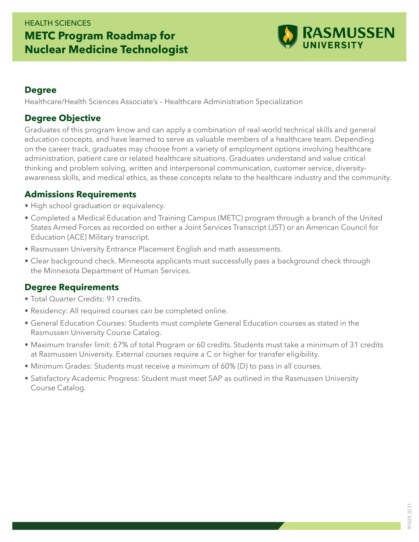

#### **Degree**

Healthcare/Health Sciences Associate's – Healthcare Administration Specialization

### **Degree Objective**

Graduates of this program know and can apply a combination of real-world technical skills and general education concepts, and have learned to serve as valuable members of a healthcare team. Depending on the career track, graduates may choose from a variety of employment options involving healthcare administration, patient care or related healthcare situations. Graduates understand and value critical thinking and problem solving, written and interpersonal communication, customer service, diversityawareness skills, and medical ethics, as these concepts relate to the healthcare industry and the community.

#### **Admissions Requirements**

- High school graduation or equivalency.
- Completed a Medical Education and Training Campus (METC) program through a branch of the United States Armed Forces as recorded on either a Joint Services Transcript (JST) or an American Council for Education (ACE) Military transcript.
- Rasmussen University Entrance Placement English and math assessments.
- Clear background check. Minnesota applicants must successfully pass a background check through the Minnesota Department of Human Services.

## **Degree Requirements**

- Total Quarter Credits: 91 credits.
- Residency: All required courses can be completed online.
- General Education Courses: Students must complete General Education courses as stated in the Rasmussen University Course Catalog.
- Maximum transfer limit: 67% of total Program or 60 credits. Students must take a minimum of 31 credits at Rasmussen University. External courses require a C or higher for transfer eligibility.
- Minimum Grades: Students must receive a minimum of 60% (D) to pass in all courses.
- Satisfactory Academic Progress: Student must meet SAP as outlined in the Rasmussen University Course Catalog.